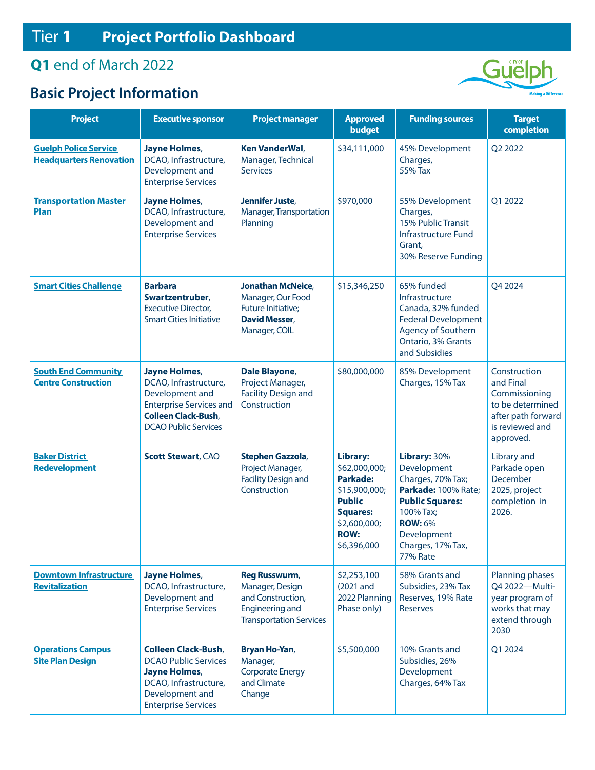## **Q1** end of March 2022

## **Basic Project Information**



| <b>Project</b>                                                 | <b>Executive sponsor</b>                                                                                                                                        | <b>Project manager</b>                                                                                                   | <b>Approved</b><br>budget                                                                                                                       | <b>Funding sources</b>                                                                                                                                                                  | <b>Target</b><br>completion                                                                                          |
|----------------------------------------------------------------|-----------------------------------------------------------------------------------------------------------------------------------------------------------------|--------------------------------------------------------------------------------------------------------------------------|-------------------------------------------------------------------------------------------------------------------------------------------------|-----------------------------------------------------------------------------------------------------------------------------------------------------------------------------------------|----------------------------------------------------------------------------------------------------------------------|
| <b>Guelph Police Service</b><br><b>Headquarters Renovation</b> | Jayne Holmes,<br>DCAO, Infrastructure,<br>Development and<br><b>Enterprise Services</b>                                                                         | <b>Ken VanderWal,</b><br>Manager, Technical<br><b>Services</b>                                                           | \$34,111,000                                                                                                                                    | 45% Development<br>Charges,<br>55% Tax                                                                                                                                                  | Q2 2022                                                                                                              |
| <b>Transportation Master</b><br>Plan                           | <b>Jayne Holmes,</b><br>DCAO, Infrastructure,<br>Development and<br><b>Enterprise Services</b>                                                                  | Jennifer Juste,<br>Manager, Transportation<br>Planning                                                                   | \$970,000                                                                                                                                       | 55% Development<br>Charges,<br>15% Public Transit<br>Infrastructure Fund<br>Grant,<br>30% Reserve Funding                                                                               | Q1 2022                                                                                                              |
| <b>Smart Cities Challenge</b>                                  | <b>Barbara</b><br>Swartzentruber,<br><b>Executive Director,</b><br><b>Smart Cities Initiative</b>                                                               | <b>Jonathan McNeice,</b><br>Manager, Our Food<br>Future Initiative;<br><b>David Messer,</b><br>Manager, COIL             | \$15,346,250                                                                                                                                    | 65% funded<br>Infrastructure<br>Canada, 32% funded<br><b>Federal Development</b><br>Agency of Southern<br>Ontario, 3% Grants<br>and Subsidies                                           | Q4 2024                                                                                                              |
| <b>South End Community</b><br><b>Centre Construction</b>       | <b>Jayne Holmes,</b><br>DCAO, Infrastructure,<br>Development and<br><b>Enterprise Services and</b><br><b>Colleen Clack-Bush,</b><br><b>DCAO Public Services</b> | Dale Blayone,<br>Project Manager,<br><b>Facility Design and</b><br>Construction                                          | \$80,000,000                                                                                                                                    | 85% Development<br>Charges, 15% Tax                                                                                                                                                     | Construction<br>and Final<br>Commissioning<br>to be determined<br>after path forward<br>is reviewed and<br>approved. |
| <b>Baker District</b><br><b>Redevelopment</b>                  | <b>Scott Stewart, CAO</b>                                                                                                                                       | Stephen Gazzola,<br>Project Manager,<br><b>Facility Design and</b><br>Construction                                       | Library:<br>\$62,000,000;<br><b>Parkade:</b><br>\$15,900,000;<br><b>Public</b><br><b>Squares:</b><br>\$2,600,000;<br><b>ROW:</b><br>\$6,396,000 | Library: 30%<br>Development<br>Charges, 70% Tax;<br>Parkade: 100% Rate;<br><b>Public Squares:</b><br>100% Tax;<br><b>ROW: 6%</b><br>Development<br>Charges, 17% Tax,<br><b>77% Rate</b> | Library and<br>Parkade open<br>December<br>2025, project<br>completion in<br>2026.                                   |
| <b>Downtown Infrastructure</b><br><b>Revitalization</b>        | <b>Jayne Holmes,</b><br>DCAO, Infrastructure,<br>Development and<br><b>Enterprise Services</b>                                                                  | <b>Reg Russwurm,</b><br>Manager, Design<br>and Construction,<br><b>Engineering and</b><br><b>Transportation Services</b> | \$2,253,100<br>(2021 and<br>2022 Planning<br>Phase only)                                                                                        | 58% Grants and<br>Subsidies, 23% Tax<br>Reserves, 19% Rate<br><b>Reserves</b>                                                                                                           | Planning phases<br>Q4 2022-Multi-<br>year program of<br>works that may<br>extend through<br>2030                     |
| <b>Operations Campus</b><br><b>Site Plan Design</b>            | <b>Colleen Clack-Bush,</b><br><b>DCAO Public Services</b><br>Jayne Holmes,<br>DCAO, Infrastructure,<br>Development and<br><b>Enterprise Services</b>            | Bryan Ho-Yan,<br>Manager,<br><b>Corporate Energy</b><br>and Climate<br>Change                                            | \$5,500,000                                                                                                                                     | 10% Grants and<br>Subsidies, 26%<br>Development<br>Charges, 64% Tax                                                                                                                     | Q1 2024                                                                                                              |